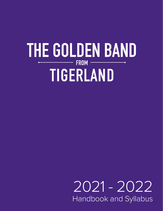# THE GOLDEN BAND  $-$  FROM TIGERLAND

## 2021 - 2022 Handbook and Syllabus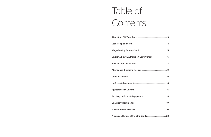# Table of Contents

| Uniforms & Equipment <b>Constitution Control</b> 24 |  |
|-----------------------------------------------------|--|
|                                                     |  |
|                                                     |  |
|                                                     |  |
|                                                     |  |
|                                                     |  |

| $\frac{1}{2}$ |
|---------------|
|               |
| 6             |
|               |
| 9             |
|               |
| $\frac{1}{2}$ |
| 16            |
| 18            |
| 19            |
| 21            |
|               |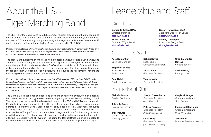# About the LSU Tiger Marching Band

The LSU Tiger Marching Band is a 325 member musical organization that meets during the fall semester for the duration of the football season. To be a member, students must maintain a 2.0 cumulative grade point average, be registered full-time (a minimum of 12 credit hours for undergraduate students), and be enrolled in MUS 4250.

*December graduates are allowed to enroll below full-time hours but must provide confirmation directly from their academic advisor that they are on track for graduation based on their course load. An email confirmation sent to the directors and/or Kara Duplantier will suffice.*

The Tiger Band typically performs at all home football games, selected away games, and appears at events throughout the community throughout the school year. All members who meet the qualifications above receive a \$1000 stipend distributed in four equal stipend disbursements that are directly related to the continuation of full-time status throughout the fall semester. A student dropping below full time during the fall semester forfeits the remaining disbursements of the Tiger Band stipend.

*If at any point during the fall semester a band member withdraws from LSU, membership in Tiger Band terminates effective immediately and all inventory must be returned to avoid charges to fee bill. Every member of the Tiger Band must be enrolled in MUS 4250. All wind, percussion, colorguard, golden girl, and drum major students are part of the organization and must abide by the expectations as outlined in this handbook.*

Instrument Repair **Technician** 

The Bengal Brass Band has auditions and performs at home volleyball, women's basketball, men's basketball, and gymnastics events beginning in September and ending in April. The organization travels with the basketball teams to the SEC and NCAA tournaments in March/April. Members are paid either \$15 or \$30 per game depending on current membership in Tiger Band. Bengal Brass does not carry a course credit. Students are required to be registered full-time at LSU for both the fall and spring semesters in order to serve as a member of Bengal Brass. If a student fails to register full time for the spring semester or withdraws from LSU at any point, the student's position in the organization terminates effective immediately and all inventory, including the Bengal Brass jacket, is expected to be returned or the student's LSU account will be assessed for the appropriate charges.

# Leadership and Staff

**Damon S. Talley, DMA** Director of Bands **dtalley@lsu.edu**

**Simon Holoweiko, DMA** Associate Director of Bands **sholow1@lsu.edu**

**Kelvin Jones, PhD** Director of Tiger Band **kjon183@lsu.edu**

**Dontay L. Douglas** Director of Bengal Brass **ddouglas@lsu.edu**

## Directors

## Operations Staff

**Kara Duplantier** Business Manager

### **Stephen Koivisto**

**Sam Hsieh** Graduate Assistant

**Robert Dowie** Leadership & Outreach Coordinator

**Jana Zilova** Graduate Assistant

**Ysanne Webb** Graduate Assistant **Greg & Jennifer Renoud** Videographers

**Steven Miley** Photographer

## Instructional Staff

**Blair Guillaume** Golden Girl Instructor

**Johnette Folse** Colorguard Instructor

**Trevor Butts** Graduate Assistant *(Area: Equipment)*

**Joseph Casselberry** Graduate Assistant *(Area: Uniforms)*

**Patrick Forrester** Graduate Assistant *(Area: Band Managers)*

**Chris Song** Graduate Assistant *(Area: Data/Attendance)* **Caryle McGregor** Graduate Assistant *(Area: Charms)*

**Emmanuel Rodriguez** Graduate Assistant *(Area: Music Library)*

**Ty Ellender** Drumline Graduate Assistant

 $\triangle$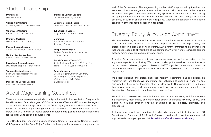## Student Leadership

**Drum Major** Nick Robichaux

**Golden Girl Captains** Lauren Aguillard & Destiny Rooney

**Colorguard Captains** Brooke Davis & Hailey Sherrill

**Drumline Captains** Nich Ashton & Tim Marquess

**Piccolo Section Leaders** Arthur Odenheimer & Maria Zeagler

**Clarinet Section Leaders** Ethan Archer & Jessica Breaux

**Saxophone Section Leaders** David Hochkeppel & Mandy Martin

**Trumpet Section Leaders** Sean Chappell, Madison Williams & Brandon Wood

**Mellophone Section Leaders** Matt Chauvin & Maddie Lee

**Trombone Section Leaders** Lydia Falcon & Cody Thurber

**Baritone Section Leaders** Annie Aucoin & Thomas Odenheimer

**Tuba Section Leaders** Gage Bennett & Christian Noto

**Librarians** Jordan McNamara, Eric Ponder & Haleigh Stevens

**Equipment Managers** Andrew Boutte, Landon Chambliss & Daniel Ourso

**Social Outreach Team (SOT)** Josie Beekman, John Blair IV, Paige Ellis Isiaha Hilliard, & Sydney McGovern

**Band Managers** Darwin Bergeron, Steven Courtney, Taylor Ferguson, Sarah Gagnepain, Whitney James, Julia Oubre & Brooke Siegle

There are several wage-earning student staff positions within the organization. They include Band Librarians, Band Managers, SOT (Social Outreach Team), and Equipment Managers. Some of these positions apply for both the fall and spring semesters while others function only in the fall. Each wage-earning student staff member is required to maintain full-time status with LSU in order to receive stipend disbursements, just as that expectation exists for the Tiger Band stipend disbursements.

Tiger Band student leadership includes Drumline Captains, Colorguard Captains, Golden Girl Captains, and the Drum Major. Students in these positions are given a stipend at the

## About Wage-Earning Student Staff

## Diversity, Equity, & Inclusion Commitment

We believe diversity, equity, and inclusion enrich the educational experience of our students, faculty, and staff, and are necessary to prepare all people to thrive personally and professionally in a global society. Therefore, LSU is firmly committed to an environment that affords respect to all members of our community. We will work to eliminate barriers that any members of our community experience.

To make LSU a place where that can happen, we must recognize and reflect on the inglorious aspects of our history. We now acknowledge the need to confront the ways racism, sexism, ableism, ageism, classism, LGBTQ+ phobia, intolerance based on religion or on national origin, and all forms of bias and exploitation have shaped our everyday lives.

We accept personal and professional responsibility to eliminate bias and oppression wherever they are found. We understand our obligation to speak up when we see bias whether it be in our teaching, study, or daily work. Our community will educate themselves proactively and continuously about how to intervene and bring bias to the attention of others with commitment and compassion.

We will hold ourselves accountable for our actions and inactions, and for maintaining intentional, measurable, and meaningful efforts to enhance diversity, equity, and inclusion, including through ongoing evaluation of our policies, practices, and procedures.

To learn more about our commitment to diversity, equity, and inclusion in the LSU Department of Bands and LSU School of Music, as well as discover the resources and support available to you, please visit: **lsu.edu/cmda/music/resources/diversity**

end of the fall semester. The wage-earning student staff is appointed by the directors each year. Positions are generally awarded to students who have been in the program for at least one year. Interested persons may apply for a student staff position during the spring semester. In the case of the Drumline, Golden Girl, and Colorguard Captain positions, an audition and/or interview is required. Students are generally notified at the conclusion of the fall football season if appointed.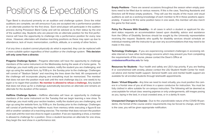Tiger Band is structured primarily on an audition and challenge system. Once the initial auditions are complete, we will announce if you are accepted into a performance position or an alternate position for the first show. Each wind player will participate in the audition process during Preseason Band Camp and will be advised as to their status by the end of the audition day. Students who are placed into an alternate position for the first performance will have the opportunity to challenge into a performance position for every new show. However, alternates will shadow marching positions as these may open up due to attendance, lack of music memorization, conflicts, attitude, or a variety of other factors.

*If at any time a student cannot physically do what is expected, they can be replaced with a more suitable option regardless of their audition or the challenge system.* **This decision will only come from a director.**

**Pregame Challenge System -** Pregame alternates will have the opportunity to challenge members of the same instrument on the Wednesday during the week of a home game. To challenge, you must notify your section leaders, notify the student you are challenging, and sign up using the website form, by 11:59 p.m. the Sunday prior to the challenge. Challenges will consist of "Stadium Salute" and marching the lines down the field. All components of the challenge will incorporate playing and everything must be memorized. The member that does not earn the position must wait until the next challenge day (i.e. one week) to try again or to regain their position. **No member is allowed to refuse a challenge.** Any student that does not show up for a challenge automatically becomes an alternate and remains an alternate for the duration of the season.

**Empty Positions** - There are several occasions throughout the season when empty positions need to be filled due to various reasons. If this is the case, Teaching Assistants and Directors will fill these empty positions. They will use the results of the music and visual auditions as well as a working knowledge of each member to fill in these positions appropriately. If asked to fill the same position twice in one week, this member will also march the game for that week.

**Resources for Students -** Your health and safety are LSU's top priority. If you are feeling ill or overwhelmed with anxiety, please contact the LSU Student Health Center for medical advice and mental health support. General health care and mental health support are available for all enrolled students through telehealth appointments.

**Halftime Challenge System -** Halftime alternates will have an opportunity to challenge members of the same instrument on the Tuesday that we begin learning a new show. To challenge, you must notify your section leaders, notify the student you are challenging, and sign up using the website form, by 11:59 p.m. the Sunday prior to the challenge. Challenges will consist of performing the halftime music from memory while executing a figure-8 box drill or another variation of a marching exercise. The member that does not earn the position must wait until the next new show to regain a position. If we are repeating a show, a member is allowed to challenge for a position. Once a student becomes an alternate for one show, they begin the next show in a performance slot.

# Positions & Expectations

**Policy For Persons With Disability -** In all cases in which a student or applicant for student status requests an accommodation based upon disability, advice and assistance from the Office of Disability Services should be sought by the University representative receiving the request. Students who qualify for disability services should schedule an individual meeting with the instructor to go over any accommodations that may need to be made in this class.

**Technology Challenges -** If you are experiencing consistent challenges in accessing reliable internet or have other technology concerns which may prevent you from completing the requirements of this course, please contact the Dean's Office at **cmdadeansoffice@lsu.edu** for help.

**Zoom / Virtual Etiquette -** Any time we need to meet virtually, you must position the camera in a frontal view of you at all times in a space conducive for instruction. You must be fully clothed in attire suitable for on-campus instruction. The following will be deemed as unacceptable for virtual class: wearing pajamas or only undergarments, still images posing as you, laying in the bed, in a loud crowded area, or in a darkly lit room.

**Unexpected Changes to Courses -** Due to the unpredictable nature of the COVID-19 pandemic, the format of the course and/or requirements may be forced to change, and if this is the case, you will be given appropriate notification.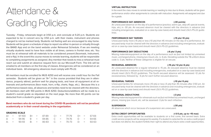# Attendance & Grading Policies

Tuesday - Friday, rehearsals begin at 3:50 p.m. and conclude at 5:20 p.m. Students are expected to be in concert arcs by 3:50 p.m. with their masks, instrument and phones charged to not be marked tardy. Students not feeling well are encouraged to stay home. Students will be given a schedule of days to report via either in-person or virtually through the BAND App and on the band website under Rehearsal Schedule. If we are meeting virtually students need to have face visible at all times, camera in frontal view, etc. You must be at rehearsal with all materials to be considered present (facemask, instrument, and e-flip). In the event this course moves to remote learning, students will be responsible to completing assignments as assigned. Any member that needs to miss a rehearsal must reach out and submit an absence request form via our Microsoft Form. The link will be emailed to all members on the first day of classes. Emergencies will be considered on an individual basis. All emergency absences must comply with PS-22.

In the event the class moves to remote learning or needing to miss due to illness, students will be given performance and/or other assignments to coincide with instruction. Assignments will assigned and due for a grade.

All members must be enrolled for MUS 4250 and will receive one credit hour for the Fall semester. Students will be given an "A+" in the course provided that they are in attendance, properly attired, perform well for playing tests, and have all equipment at all rehearsals and performances (face mask, horn, e-flip, charts, flags, etc.). Because this is a performance-based class, all absences and tardies need to be cleared with the directors. All members start with 100 points in MUS 4250. Deductions/additions will be made to a student's overall grade as stipulated on the next page. No more than 40 points can be deducted from a student's grade per day.

**Band members who do not travel during the COVID-19 pandemic will not be penalized academically or in their overall standing in the organization.**

### **GRADING SCALE**

|  |  | A+ = 97-100 B+ = 87-89 C+ = 77-79 D+ = 67-69 |  |  |  |
|--|--|----------------------------------------------|--|--|--|
|  |  | A = 94-96 B = 84-86 C = 74-76 D = 64-66      |  |  |  |
|  |  | A- = 90-93 B- = 80-83 C- = 70-73 D- = 60-63  |  |  |  |

### **VIRTUAL INSTRUCTION**

### **PERFORMANCE DAY ABSENCES (-30 points)**

An unexcused absence on the day of a performance (practice, warm-ups, step-off, special events, trips, etc.) is -30 pts. An excused absence must be cleared with the directors in advance (not including emergencies, evaluated on a case-by-case basis) and should meet LSU's PS-22 guidelines.

### **PERFORMANCE DAY TARDIES (-15 pts/-10 pts)**

Unexcused tardy more (-15 pts) or less (-10 pts) than 45 minutes on the day of a performance. An excused tardy must be cleared with the directors in advance (not including emergencies, evaluated on a case-by-case basis) and should meet LSU's PS-22 guidelines.

### **PERFORMANCE DAY DEDUCTIONS (-6 pts/-3 pts)**

Missing materials/equipment on the day of a performance such as (but not limited to) unmarked music, uncharged phone, missing lyre mount, etc. is -6 pts. Deviating outside the TB uniform dress code is -3 pts. Neither of these categories is eligible for an excuse.

### **REHEARSAL ABSENCES (-15 pts/-12 pts/-6 pts)**

An unexcused absence for a regular rehearsal is -15 pts. An excused absence must be cleared with the directors in advance (not including emergencies, evaluated on a case-by-case basis) and should meet LSU's PS-22 guidelines. The fourth excused absence will be assessed -12 pts for excessiveness, followed by - 6 pts for each further excused absence.

### **REHEARSAL TARDIES (-10 pts/-5 pts)**

Unexcused tardies for rehearsals more (-10 pts) or less (-5 pts) than 45 minutes after 3:50 pm. An excused tardy must be cleared with the directors in advance (not including emergencies, evaluated on a case-by-case basis) and should meet LSU's PS-22 guidelines.

### **REHEARSAL DEDUCTIONS (-3 pts)**

Missing materials/equipment for rehearsals such as (but not limited to) unmarked music, uncharged phone, missing lyre mount, etc. will be assessed -3 pts for each infraction.

### **SUSPENSION (-30 pts)**

All absences which occur because of a suspension are unexcused.

### **EXTRA CREDIT OPPORTUNITIES (+3-5 pts, up to +15 max)**

Extra credit opportunities will be available to students on a first come, first served basis. Extra credit service projects will be assigned bi-weekly. If a student is selected for an extra credit project but does not attend, the student forfeits their right to attend any future extra credit opportunities.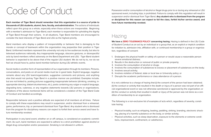# Code of Conduct

**Each member of Tiger Band should remember that this organization is a source of pride to thousands of LSU students, alumni, fans, faculty, and administration.** The actions of individuals reflect upon this group as a whole, especially when those actions are irresponsible. Beginning with a member's admission to Tiger Band, each member is responsible for upholding the dignity of Tiger Band through their actions. In all situations, Tiger Band members are encouraged to consider the best interests of Tiger Band and LSU as the highest priority.

Band members who display a pattern of irresponsibility or behavior that is damaging to the morale or concept of teamwork within the organization may jeopardize their position in Tiger Band. Uniformed members represent the university not only to live audiences locally, but also to televised audiences nationally. Any inappropriate language, obscene gestures, or disrespectful acts by band members reflect adversely on the Band Department and LSU. Tiger Band student behavior is expected to be above that of the regular LSU student. We do not try to, nor do we feel we should have to, police band member behavior during LSU athletic events.

Social media is another form of representation of our organization through its members. Pictures, conversations, and posts on all social media must be in good taste. Explicit language, negative remarks about any LSU team/organization, suggestive comments and pictures, and anything else that would not portray Tiger Band in a positive manner are prohibited. Examples include, but are not limited to, posting pictures suggesting inappropriate behavior (drinking, smoking, inappropriate dancing, blatant drunkenness, etc.), posts containing any vulgar or explicit language, degrading tone, rudeness, or any negative statements towards LSU persons or organizations. Violations of the above mentioned items will be considered a violation of the Tiger Band Code of Conduct and handled accordingly.

We have a **ZERO TOLERANCE POLICY concerning hazing.** Hazing is defined in the LSU Code of Student Conduct as an act by an individual or a group that, as an explicit or implicit condition for initiation to, admission into, affiliation with, or continued membership in a group or organization, regardless of consent:

Responsible behavior and a positive attitude are expected of all members at all times. Failure to comply with these expectations may result in suspension, and/or dismissal from a rehearsal, game, performance, trip, or permanent dismissal from Tiger Band. Any student who is dismissed from the program for disciplinary reasons can expect to forfeit their service award and have future membership revoked.

Participation in any band event, whether on or off campus, is considered an academic commitment. As such, band members are expected to adhere to a strict prohibition against alcohol or illegal drug consumption and/or possession. Smoking is not allowed in uniform.

Possession and/or consumption of alcohol or illegal drugs prior to or during any rehearsal or LSU sponsored event, including trips, is prohibited. Failure to comply with this regulation will result in suspension and/or dismissal from Tiger Band. **Any student who is dismissed from the program or disciplined for this reason can expect to fail the class, forfeit his/her service award, and have future membership revoked.**

1. Endangers the physical health or safety of a person or would cause a reasonable person

4. Involves the consumption of substances to excess or placement of substances on the body;

- severe emotional distress;
- 2. Results in the destruction or removal of public or private property;
- 3. Involves the consumption of alcohol or drugs;
- 
- 5. Involves sexual activity;
- 6. Involves violation of federal, state or local law or University policy; or
- 7. Disrupts the academic performance or class attendance of a person.

It is not a defense to a charge of hazing that (i) the consent of the person had been obtained; (ii) the conduct or activity that resulted in the death or injury of a person was not part of an official organizational event or was not otherwise sanctioned or approved by the organization; or (iii) the conduct or activity that resulted in death or injury of the person was not done as a condition of membership to an organization.

The following is a non-exclusive list of examples of acts which, regardless of severity, constitute hazing:

• Physical brutality, such as whipping, beating, paddling, striking, branding, electronic shock-

- ing, placing of a harmful substance on the body, or similar activity;
- tions, imprisonment, confinement, or calisthenics;

• Physical activities, such as sleep deprivation, exposure to the elements or extreme condi-

## Hazing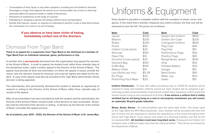- Consumption of food, liquid, or any other substance, including but not limited to alcoholic beverages or drugs, that subjects the person to an unreasonable risk of harm or that may adversely affect the physical health or safety of the person;
- Placement of substances on the body of a person;
- Kidnapping or dropping a person off campus without return transportation;
- Activity that induces, causes, or requires an individual to perform a duty or task that involves the commission of a crime or an act of hazing.

### **If you observe or have been victim of hazing, immediately contact one of the directors.**

**There is no appeal for a suspension from Tiger Band or the dismissal of a member of Tiger Band from an individual rehearsal, game, performance or trip.**

A member who is **permanently** dismissed from the organization may appeal the decision to the School of Music. In order to appeal, the student must, within three calendar days of the disciplinary action, make a written appeal to the Director of the School of Music. The appeal must provide all facts and information on which the appeal is based, provide the reason why the decision should be reversed, and must be signed and dated by the student. A copy of the appeal must also be provided to the Tiger Band administrator whose decision is being appealed.

The administrator who permanently dismissed the student is allowed an opportunity to respond in writing to the Director of the School of Music within three calendar days of receipt of the appeal.

After all documentation has been provided by both the student and the administrator, the Director of the School of Music should render a final decision as soon as possible. All parties shall be informed of the decision in writing. A decision by the Director of the School of Music concludes the appeal process.

**As of academic year 2021 - 2022, the Director of the School of Music is Dr. James Byo.**

**Shoes, Socks, Gloves** - All instrumentalists wear the same style shoes. The shoes used by the Tiger Band are MTX Marching Shoes. Each member will be provided with their first pair of shoes and are expected to maintain the appearance of the shoes throughout their tenure with Tiger Band. If you require new shoes as a returning member, your fee bill will be assessed \$45. **All members must wear long black socks.** Colorguard and Golden Girl members wear a different style shoe than the instrumentalists. They will be purchased by the Department of Bands.

## Dismissal From Tiger Band

# Uniforms & Equipment

Every student is provided a complete uniform with the exception of shoes, socks, and gloves. In the event that a member misplaces any uniform articles, the final cost will be assessed to your fee bill. The prices are as follows:

| <b>Item</b>             | Cost    | <b>Item</b>                | <b>Cost</b> |
|-------------------------|---------|----------------------------|-------------|
| Jacket                  | \$500   | Golden Girl Uniform        | \$850       |
| <b>Bibbers</b>          | \$200   | Golden Girl Cape           | \$200       |
| Shako                   | \$250   | <b>Colorguard Uniform</b>  | \$650       |
| Plume                   | \$50    | Flag Case                  | \$40        |
| Citation Cords (each)   | \$20    | Flag Pole                  | \$15        |
| Raincoat                | \$150   | Performance Flags          | \$50        |
| Paper Flip              | \$10    | <b>Practice Flags</b>      | \$45        |
| Drumline Covers (each)  | \$25    | <b>Bengal Brass Jacket</b> | \$100       |
| Garment Bag             | \$100   | eFlip                      | \$30        |
| Duffel Bag              | \$100   | Portable Battery           | \$20        |
| <b>Battery Cable</b>    | \$10    | Hanger                     | \$10        |
| Lyre (Varies per inst.) | $$5-28$ | <b>Band Shoes</b>          | \$45        |
| Ear Plugs               | \$25    | Water Jug                  | \$25        |
| Performing Face Mask    | \$20    | Gaiter                     | \$15        |

**Uniform Distribution** - To help with safety procedures due to COVID-19, students will be required to keep and maintain uniforms issued out. Each student will be assigned a garment bag number (instrumentalists only) that will contain their respective uniform parts that should remain hung up and maintained at all times. **If we retrieve a uniform that is visibly wrinkled due to not being hung on a rack or not properly maintained, you will receive an automatic 10-point grade reduction.**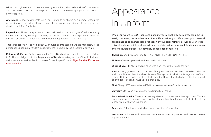

White cotton gloves are sold to members by Kappa Kappa Psi before all performances for \$5 / pair. Golden Girl and Cymbal players purchase their own unique gloves as specified by the directors.

**Alterations** - Under no circumstance is your uniform to be altered by a member without the permission of the directors. If you require alterations to your uniform, please contact the directors and Kara Duplantier.

**Inspections** - Uniform inspection will be conducted prior to each game/performance by the section leaders, teaching assistants, or directors. Members are expected to wear the uniform correctly at all times (see information on appearance on the next page.)

**Return of Uniforms - Failure to return the Tiger Band uniform could be considered failure** to fulfill your obligation to the Department of Bands, resulting in loss of the final stipend disbursement as well as fee bill charges for each specific item. **Tiger Band uniforms are not souvenirs.** 

These inspections will be held about 20 minutes prior to step-off and are mandatory for all personnel. Subsequent random inspections may be held by the directors at any time.

# Appearance In Uniform

**Facial/Head Jewelry:** There is no jewelry allowed to be visible unless approved. This includes any rings (ear, nose, eyebrow, lip, etc) and hair ties that are not black. Transition

**Instrument:** All brass and percussion instruments must be polished and cleaned before any performance.

When you wear the LSU Tiger Band uniform, you will not only be representing the university, but everyone who has worn the uniform before you. We expect your personal appearance to be an impeccable reflection of your personal taste as well as your organizational pride. An untidy, disheveled, or incomplete uniform may result in alternate status and/or a lowered grade. An exemplary appearance consists of:

**Jacket:** Cleaned, pressed, and COLLAR FASTENED and FRONT ZIPPED.

**Bibbers:** Cleaned, pressed, and hemmed at all times.

**White Shoes:** CLEANED and polished with black socks that rise to the calf.

**Hair:** Properly groomed which consists of long hair that touches the collar to be under the shako at all times when the shako is worn. This applies to all students regardless of their gender. Hair accessories must be black. Unnatural hair color which draws attention should be avoided. Facial hair must also be groomed.

**Shirt:** The gold TB member issued T-shirt is worn under the uniform. No exceptions!

**Gloves:** White (clean which means no dirt marks or stains)

lenses are not allowed in uniform.

**Raincoats:** Folded as instructed and worn over the left shoulder.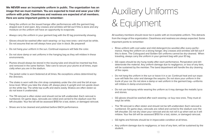**We NEVER wear an incomplete uniform in public. The organization has an image that we must maintain. You are expected to treat and wear your LSU uniform with pride. Cleanliness and neatness are expected of all members. Here are some important points to remember:**

- Hang the uniform on the issued hangar after performances with the garment bag draped over it and open. Any creases and wrinkles will fall out if this is done and any moisture on the uniform will have an opportunity to evaporate.
- Always carry the uniform in your garment bag with the ID tag prominently showing.
- Gloves should be washed after each wearing—or buy new ones—and must be white. Do not assume that we will always have your size in stock. Be prepared!
- Do not hang your uniform in the sun. Continual exposure will fade the color.
- Do not store damp or wet uniforms in the hanging bag as they will mildew in these environments.
- Plumes should always be stored in the issuing tube and should be inserted top first, and removed in the same fashion. Take care to secure your plume at all times, especially when you are in the stadium.
- The jacket collar is worn fastened at all times. No exceptions unless determined by the directors.
- The shako is worn with the chin strap completely under the chin and the bill at eyebrow level. When you take the shako off, always place it upright and not upside down on the white top. The white top scuffs and stains easily. Shakos are often stolen so do not leave it unattended.
- The TB raincoat is often stolen and should not be left unattended. Each raincoat is numbered. On game days, raincoats are rolled and carried to the stadium over the left shoulder. Your fee bill will be assessed \$150 for a lost, stolen, or damaged raincoat.
- Shoes are to be cleaned and polished before EACH performance.

• GG capes should be dry hung neatly after each performance. Perspiration and dirt deteriorate the material. Any uniform damage due to negligence, or loss of any item, will be sustained by the member. The band department will handle the dry cleaning

# Auxiliary Uniforms & Equipment

All auxiliary members should never be in public with an incomplete uniform. This detracts from the image of the organization. Cleanliness and neatness are always expected. Some important points to remember:

• Rinse uniform with cool water and mild detergent (no woolite) after every performance. Hang the uniform on a strong hanger. Any creases and wrinkles will fall out if this is done. The Colorguard and Golden Girl uniforms cannot be dry-cleaned. When

• Do not hang the uniform in the sun or leave it in a car. Continual heat and sun exposure will fade the color and damage the sequins. Do not store your uniform in the trunk of your car. Do not store a damp or wet uniform in the garment bag—uniforms

- traveling, always carry the uniform in your garment bag with your ID tag.
- of the capes.
- will mildew in damp environments.
- and stones.
- ways be white.
- 
- GG tights and fishnets should be in impeccable condition at all times.
- student.

• Do not use hairspray while wearing the uniform as it may damage the metallic lycra

• GG gloves should be washed after each wearing—or buy new ones. They must al-

• The TB raincoat is often stolen and should not be left unattended. Each raincoat is numbered. On game days, raincoats are rolled and carried to the stadium over the left shoulder. Do not dry clean your raincoat and do not roll it up when wet as it will mildew. Your fee bill will be assessed \$150 for a lost, stolen, or damaged raincoat.

• Any uniform damage due to negligence, or loss of any item, will be sustained by the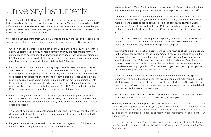# Instruments left at Tiger Band Hall are at the instrumentalist's own risk whether they<br>are privately or university owned. Make sure they are properly stowed in a shelf.

In most cases, the LSU Department of Bands will provide instruments free of charge for instrumentalists who do not own their own instruments. You must be enrolled in MUS 4250 or another musical ensemble to check out an instrument (for concert ensemble purposes). However, after it has been assigned, the individual student is responsible for the safety and proper care of the instrument.

We expect each student to treat LSU instruments as if they were their own. Please make sure to observe the following guidelines regarding proper care of LSU instruments:

- Check with your parents to see if it can be included on their homeowner's insurance policy. Checking out an instrument is a contract and you are responsible for the instrument and its accessories at all times. If it is damaged or lost, you must reimburse LSU the cost of replacing a lost, stolen, or destroyed instrument. If you think an instrument has been stolen, report it immediately to the LSU police.
- Help us maintain our instrument inventory. Report any damage or malfunctions to Steve Koivisto as soon as possible, **stevekoi@lsu.edu** or 225-578-2300 (office). Do not attempt to make repairs yourself—especially stuck mouthpieces. Do not wait minutes before a rehearsal or performance to present a problem. Tiger Band is a high profile organization and visibly damaged instruments detract from our image. If Mr. Koivisto inspects your instrument and notices issues beyond normal wear and tear, repairs will be charged to an individual student's fee bill. Before coming to see Mr. Koivisto, make sure you contact him to set up an appointment time.
- If you are caught in the rain with an instrument, dry if off before putting it away in the case. This will prevent additional issues including key mechanisms and mold forming. Percussion instruments should be completely dried off before putting them away to avoid lugs rusting.
- This year, all non-large instruments should be kept on the person of the students to decrease traffic flow into the building. These instruments include, but not limited to, all woodwinds and trumpets.
- Larger instruments may be stored in the instrument storage room in TBH. Keep in mind that TBH is a high traffic area and not completely secure.

**Supplies, Accessories, and Repairs** - The LSU repair shop maintains a stock of the most commonly used supplies such as reeds, lyres, oil, and other items for sale. Other non-stock and generally more expensive items (mutes, mouthpieces, cases, exotic reeds) may be requested but not guaranteed. Repairs to privately owned instruments will be billed to your student account.

are privately or university owned. Make sure they are properly stowed in a shelf.

• Do not leave instruments unattended in the SOM or MDA practice rooms or classrooms at any time. This year, practice room access is tightly controlled. If you need more permanent storage space, request a locker at **lsu.edu/cmda/music** under Resources ➢ Student Handbooks & Forms. Make sure you have a university issued padlock as unauthorized locks will be cut off and the locker contents removed to

• Use common sense when handling and transporting instruments, especially sousaphones. Do not pile instruments on top of each other and mishandle them. Instru-

• Instruments are checked out on a semester basis and must be checked in personally to the shop at the conclusion of the Spring Game. If you will not return to LSU in the Spring (whether you are graduating or are not going to continue), you must return your instrument to Mr. Koivisto at the conclusion of the bowl game. Depositing your horn on one of the band hall instrument shelves at the end of the semester is not considered checking in your horn. The instrument is your responsibility until you re-

- 
- storage.
- ments are never to be played while walking across campus!
- turn it to the shop and your checkout record cleared.
- If your instrument and/or accessories are not returned by the end of the Spring be assessed for the cost of the equipment.
- baritone or \$2200 for a Yamaha alto saxophone, as examples.

Game, you will be held responsible for the missing equipment. After consulting with Mr. Koivisto and the directors, the property will be reported to the LSU Police Department as missing/stolen with your name listed as the last known user. Your fee bill will

• Replacements are costly and could be approximately \$3200 for a Yamaha marching

For all repairs, please contact Steve Koivisto to set up an appointment via the Instrument/ Lyre Request Form located online at **lsu.edu/cmda/bands** under Resources ➢ For Tiger Band Members.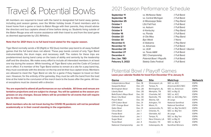# Travel & Potential Bowls

All members are required to travel with the band to designated full band away games, including post season games, over the Winter holiday break. If band members wish to travel home from a game or back to Baton Rouge with their parents, they should advise the directors and bus captains ahead of time before doing so. Students living outside of the Baton Rouge area will receive assistance with their travel to and from the bowl game as deemed appropriate by LSU Athletics.

### **Note that for 2021 there is no full band travel slated for the regular season.**

Tiger Band normally sends a 50 (flight) or 102 (bus) member pep band to all away football games that the full band does not attend. These pep bands consist of only Tiger Band instrumentalists, the drum major, and necessary staff. The rosters for these trips are predetermined during band camp on the basis of ability and seniority by the leadership staff and the directors. We make every effort to include all interested members in at least one trip during the season. While traveling, all Tiger Band rules and the Code of Conduct are in effect. If a member of the Tiger Band wishes to remain at a site for a pep band trip, they must coordinate with the director on the trip and let their bus captain know. Members are allowed to meet the Tiger Band on site for a game if they happen to travel on their own. However, for the entirety of the gameday, they must be with the band from the load time at the hotel to the conclusion of the march back to the buses after the game. All travel exceptions must be cleared with a director.

**You are expected to attend all performances on our schedule. All times and venues are tentative projections and are subject to change. You will be updated as the season progresses on any changes. Excuse letters will be provided for all events that will require you to miss class.**

**Band members who do not travel during the COVID-19 pandemic will not be penalized academically or in their overall standing in the organization.**

## 2021 Season Performance Schedule

| <b>September 11</b>     | vs. McNeese State            | // Full Band          |
|-------------------------|------------------------------|-----------------------|
| <b>September 18</b>     | vs. Central Michigan         | // Full Band          |
| <b>September 25</b>     | @ Mississippi State          | // Pep Band           |
| <b>October 1</b>        | <b>LSU Fall Fest</b>         | // Full Band          |
| <b>October 2</b>        | vs. Auburn                   | // Full Band          |
| October 9               | @ Kentucky                   | // Pep Band           |
| <b>October 16</b>       | vs. Florida                  | // Full Band          |
| <b>October 23</b>       | @ Ole Miss                   | // Pep Band           |
| <b>October 30</b>       | <b>Bye Week</b>              | $//$ None             |
| <b>November 6</b>       | @ Alabama                    | // Pep Band           |
| <b>November 13</b>      | vs. Arkansas                 | // Full Band          |
| <b>November 20</b>      | vs. ULM                      | // Full Band + Alumni |
| November 27             | vs. Texas A&M                | // Full Band          |
| December 4              | <b>SEC Championship</b>      | // Full Band          |
| Dec./Jan. TBD           | Potenial Bowl / Playoffs     | // Full Band          |
| <b>Feburary 3, 2022</b> | <b>Stately Oaks Festival</b> | // Full Band          |

| <b>Game</b>             | <b>Date</b> | <b>Site</b>      | <b>Matchup</b>            | <b>Network</b> |
|-------------------------|-------------|------------------|---------------------------|----------------|
| Independence Bowl       | Dec. 18     | Shreveport, LA   | SEC vs. ACC               | <b>ESPN</b>    |
| Gasparilla Bowl         | Dec. 23     | Tampa, FL        | American/ACC/SEC          | <b>ESPN</b>    |
| <b>Birmingham Bowl</b>  | Dec. 28     | Birmingham, AL   | <b>SEC vs. American</b>   | <b>ESPN</b>    |
| Liberty Bowl            | Dec. 28     | Memphis, TN      | SEC vs Big 12             | <b>ESPN</b>    |
| Belk/Duke's Mayo Bowl   | Dec. 30     | Charlotte, NC    | SEC vs. ACC               | <b>ESPN</b>    |
| Music City Bowl         | Dec. 30     | Nashville, TN    | SEC vs. ACC/Big Ten       | <b>ESPN</b>    |
| Peach Bowl              | Dec. 30     | Atlanta, GA      | At Large                  | <b>ESPN</b>    |
| <b>CFP-Cotton Bowl</b>  | Dec. 31     | Arlington, TX    | <b>National Semifinal</b> | <b>ESPN</b>    |
| <b>CFP- Orange Bowl</b> | Dec. 31     | Miami, FL        | <b>National Semifinal</b> | <b>ESPN</b>    |
| <b>Gator Bowl</b>       | Dec. 31     | Jacksonville, FL | SEC vs. Big Ten/ACC       | <b>ESPN</b>    |
| <b>Citrus Bowl</b>      | Jan. 1      | Orlando, FL      | SEC vs. Big Ten           | <b>ESPN</b>    |
| Fiesta Bowl             | Jan. 1      | Glendale, AZ     | At Large                  | <b>ESPN</b>    |
| <b>Outback Bowl</b>     | Jan. 1      | Tampa, FL        | SEC vs. Big Ten           | <b>ESPN</b>    |
| Sugar Bowl              | Jan. 1      | New Orleans, LA  | SEC vs Big 12             | <b>ESPN</b>    |
| <b>Texas Bowl</b>       | Jan. 4      | Houston, TX      | SEC vs. Big 12            | <b>ESPN</b>    |
| National Championship   | Jan. 13     | Indianapolis, IN | <b>Semifinal Winners</b>  | <b>ESPN</b>    |

## Potential Bowl / Playoff Games **Leave your calendar flexible for travel from December 17 to January 9.**

| : State       | // Full Band          |
|---------------|-----------------------|
|               |                       |
| lichigan      | // Full Band          |
| i State       | // Pep Band           |
|               | // Full Band          |
|               | // Full Band          |
|               | // Pep Band           |
|               | // Full Band          |
|               | // Pep Band           |
|               | // None               |
|               | // Pep Band           |
|               | // Full Band          |
|               | // Full Band + Alumni |
| M             | // Full Band          |
| onship        | // Full Band          |
| ll / Playoffs | // Full Band          |
| Fostival      | // Full Rand          |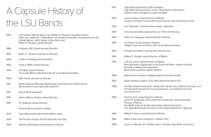# A Capsule History of the LSU Bands

| 1893 | Two cadets, Wylie M. Barrow and Ruffin G. Pleasant, organized a band<br>which was called the "Cadet Band" and totaled 9 members. It performed for LSU<br>football games, which began in that same year.<br>Ruffin G. Pleasant named Director. | 1940<br>1942 |
|------|-----------------------------------------------------------------------------------------------------------------------------------------------------------------------------------------------------------------------------------------------|--------------|
|      |                                                                                                                                                                                                                                               |              |
| 1896 | Professor W.B. Clarke became Director.                                                                                                                                                                                                        | 1943         |
| 1897 | Ruffin G. Pleasant returned as Director.                                                                                                                                                                                                      | 1944         |
| 1898 | Charles A Kellogg named Director.                                                                                                                                                                                                             | 1945         |
| 1903 | Frank E. Miller named Director.                                                                                                                                                                                                               |              |
| 1904 | D.P. West named Director.                                                                                                                                                                                                                     |              |
|      | The Cadet Band performed at the St. Louis World Exposition.                                                                                                                                                                                   | 1948         |
| 1905 | W.B. Clarke returned as Director.                                                                                                                                                                                                             | 1952         |
| 1910 | Band rehearsed Monday, Wednesday, and Friday from 4:00-6:00 pm.<br>Band uniforms were gray with white trim.                                                                                                                                   | 1958         |
| 1914 | Dance Band organized.                                                                                                                                                                                                                         |              |
| 1915 | Henry Wallace Stopher named Director.                                                                                                                                                                                                         | 1959         |
| 1918 | F.T. Guilbeau named Director.                                                                                                                                                                                                                 |              |
|      | Summer Band program initiated.                                                                                                                                                                                                                |              |
| 1924 | Tiger Band performed its first halftime show.                                                                                                                                                                                                 | 1964         |
| 1925 | The Practice House, the first band hall, was built.                                                                                                                                                                                           | 1965         |
| 1930 | Alfred A. Wickboldt named Director of Bands.                                                                                                                                                                                                  | 1966         |

| 1931 | Tiger Band expanded to 250 memb<br>Tiger Band became known as the "S<br>Uniform colors changed to purple ar                                                               |
|------|---------------------------------------------------------------------------------------------------------------------------------------------------------------------------|
| 1934 | Castro Carazo named Director of Ba<br>Carazo and Huey P. Long write Touc                                                                                                  |
| 1935 | The Tigerettes, a female dance squa                                                                                                                                       |
| 1936 | A new band building built at the rear                                                                                                                                     |
| 1940 | Arthur M. Culpepper named Director                                                                                                                                        |
| 1942 | J.S. Fisher named Director of Bands.<br>Twilight Concerts are held in front of                                                                                            |
| 1943 | Females permitted in the band for th                                                                                                                                      |
| 1944 | William E. Koogler named Director of                                                                                                                                      |
| 1945 | L. Bruce Jones named Director of Ba<br>Band became a department in the S<br>primarily a military band operation.<br>Band service award program initiate                   |
| 1948 | Beta Gamma Chapter of Kappa Kapp                                                                                                                                          |
| 1952 | Alpha Lambda Chapter of Tau Beta S                                                                                                                                        |
| 1958 | The Band Hall burned down, taking<br>all instruments except the new sousa<br>one French horn.                                                                             |
| 1959 | Thomas Tyra named Director of Ban<br>James N. Geideman, LSU's instrume<br>Director of Bands.<br>The Ballet Corps (a female dance line<br>The Tiger Band became known as T |
| 1964 | William F. Swor named Director of Ba                                                                                                                                      |
| 1965 | Ballet Corps name changed to "Gold                                                                                                                                        |
| 1066 | Iamos A Mackou the "Colden Voice                                                                                                                                          |

nembers. the "Show Band of the South." ple and gold.

of Bands. Touchdown for LSU and Darling of LSU.

squad, organized.

e rear of the old infirmary.

rector of Bands.

ont of the Memorial Tower.

for the first time.

ctor of Bands.

of Bands. the School of Music, instead of being nitiated.

**Kappa Psi formed at LSU.** 

Beta Sigma formed at LSU.

1858 Aking with it all the new uniforms, all music, and sousaphones, one baritone horn and

f Bands. trument repairman, named Assistant

ce line) added to the band. n as The Golden Band from Tigerland.

of Bands.

"Golden Girls."

James A. Mackey, the "Golden Voice," became Tiger Band announcer.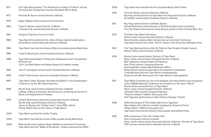| 1971 | LSU Tiger Band named "The All American College TV Band" and per<br>formed at the Orange Bowl and the East-West Shrine Bowl.                                      | 2009 | Tiger Band was inducted into the L                                                                                   |
|------|------------------------------------------------------------------------------------------------------------------------------------------------------------------|------|----------------------------------------------------------------------------------------------------------------------|
| 1977 | Nicholas M. Rouse named Director of Bands.                                                                                                                       | 2010 | Frank B. Wickes retired as Director<br>Roy King named Director of Tiger B                                            |
| 1979 | Roger Wattam hired as Instrument Technician.                                                                                                                     | 2011 | Eric Melley named interim Assistan<br>Roy King named Director of Athletic                                            |
| 1980 | Frank B. Wickes named Director of Bands.<br>J. Russell Laib named Associate Director of Bands.                                                                   |      | Donald McKinney named Director<br>The LSU Golden Girls travel to Hon                                                 |
| 1981 | Inaugural Tigerama Concert is held.                                                                                                                              | 2012 | The New Tiger Band Hall opens.<br>Dennis Llinás named Associate Dire                                                 |
| 1983 | Tiger Band first performed for a New Orleans Saints football game.<br>David Morris named Associate Director of Bands.                                            |      | Steve Koivisto replaces Mark Vande<br>Tiger Band named one of the "Top                                               |
| 1984 | Tiger Band marched the Krewe of Bacchus parade during Mardi Gras.                                                                                                | 2014 | The Tiger Band performs at the St.<br>Damon Talley named Director of Ba                                              |
| 1985 | Linda R. Moorhouse named Assistant Director of Bands.                                                                                                            |      |                                                                                                                      |
| 1988 | Tiger Band participated in filming the Hollywood movie "Everybody's<br>All American."                                                                            | 2016 | Dennis Llinás named interim Direct<br>Kelvin Jones named interim Assista<br><b>Blair Guillaume named Golden Girl</b> |
|      | LSU's Tau Beta Sigma and Kappa Kappa Psi chapters merge.                                                                                                         |      | Amy Triche named Colorguard Spc<br>Kara Duplantier named Bands Busi                                                  |
| 1993 | John P. LaCognata named interim Assistant Director of Bands.                                                                                                     |      | Robert Dowie named Leadership &<br>Craig Macaluso joins the Tiger Ban                                                |
| 1995 | Linda R. Moorhouse returned as Assistant Director of Bands.                                                                                                      |      | Greg and Jennifer Renoud join the                                                                                    |
| 1997 | Tiger Band voted "Number One Marching Band" in the Southeastern<br>Conference by the SEC Band Directors.                                                         | 2017 | Tiger Band is selected as one of 8<br>at the CBDNA National Conference<br>Dennis Llinás named Director of Tion       |
| 1998 | Roy M. King named interim Assistant Director of Bands.<br>College of Music & Dramatic Arts formed by combining the School of                                     |      | Kelvin Jones named Assistant Direo<br>Johnette Folse named Colorguard                                                |
|      | Music and Department of Theatre.                                                                                                                                 |      | "Veterans Salutes" halftime show g<br>First Tigerama performance in New                                              |
| 1999 | Linda R. Moorhouse returned as Associate Director of Bands.                                                                                                      |      |                                                                                                                      |
|      | Roy M. King named Assistant Director of Bands.<br>James A. Mackey, the "Golden Voice" since 1966, retired.<br>Patrick Wright hired as the "Voice of Tiger Band." | 2018 | 125th Anniversary of The Golden B<br>New Golden Girl uniforms unveiled<br>"Binge Watch" halftime show goes           |
| 2002 | Tiger Band received the Sudler Trophy.                                                                                                                           |      | Tiger Band marched the Krewe of 2                                                                                    |
|      |                                                                                                                                                                  | 2019 | 60th anniversary of the LSU Golder                                                                                   |
| 2004 | Tiger Band marched the Krewe of Rex parade during Mardi Gras.                                                                                                    |      | New Colorguard uniforms unveiled<br>Kelvin Jones named interim Associ                                                |
| 2008 | Mark Vandermark replaces Roger Wattam as Instrument Technician.<br>Tiger Band wins the "Battle of the Bands" contest sponsored by ESPN.                          |      | <b>Cliff Croomes named interim Assist</b>                                                                            |

he Louisiana Music Hall of Fame.

ector of Bands. ger Band and Associate Director of Bands. istant Director of Bands.

hletic Bands ctor of Wind Ensembles and Conducting. Hong Kong to perform at the Chinese New Year.

e Director of Bands

/andermark as Instrument Technician

'Top 10" bands in the US by the Huffington Post.

e St. Patrick's Day Parade in Dublin, Ireland. of Bands

lirector of Tiger Band

ssistant Director of Bands

Girl Sponsor

**Sponsor** 

**Business Officer** 

hip & Development Coordinator

Band as photographer

If the Tiger Band as videographers

of 8 collegiate marching bands to be recognized rence for excellence in the show "NOLA." of Tiger Band Director of Bands uard Sponsor ow goes viral New Orleans Saenger Theatre

en Band from Tigerland eiled, designed by Suzanne Perron oes viral e of Zulu parade during Mardi Gras.

olden Girls ssociate Director of Bands / Director of Tiger Band Assistant Director of Bands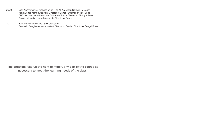- 2020 50th Anniversary of recognition as "The All-American College TV Band" Kelvin Jones named Assistant Director of Bands / Director of Tiger Band Cliff Croomes named Assistant Director of Bands / Director of Bengal Brass Simon Holoweiko named Associate Director of Bands
- 2021 50th Anniversary of the LSU Colorguard Dontay L. Douglas named Assistant Director of Bands / Director of Bengal Brass

**The directors reserve the right to modify any part of the course as necessary to meet the learning needs of the class.**